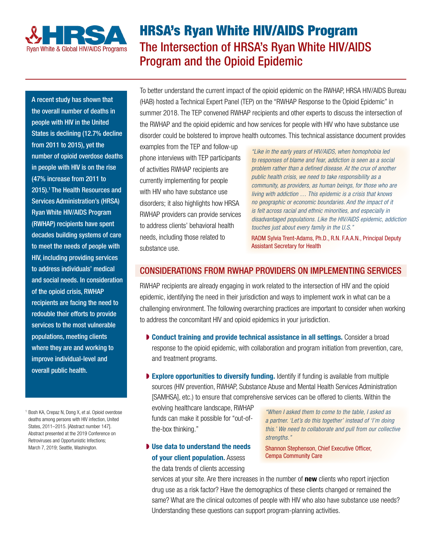

# HRSA's Ryan White HIV/AIDS Program The Intersection of HRSA's Ryan White HIV/AIDS Program and the Opioid Epidemic

A recent study has shown that the overall number of deaths in people with HIV in the United States is declining (12.7% decline from 2011 to 2015), yet the number of opioid overdose deaths in people with HIV is on the rise (47% increase from 2011 to 2015).1 The Health Resources and Services Administration's (HRSA) Ryan White HIV/AIDS Program (RWHAP) recipients have spent decades building systems of care to meet the needs of people with HIV, including providing services to address individuals' medical and social needs. In consideration of the opioid crisis, RWHAP recipients are facing the need to redouble their efforts to provide services to the most vulnerable populations, meeting clients where they are and working to improve individual-level and overall public health.

<sup>1</sup> Bosh KA, Crepaz N, Dong X, et al. Opioid overdose deaths among persons with HIV infection, United States, 2011–2015. [Abstract number 147]. Abstract presented at the 2019 Conference on Retroviruses and Opportunistic Infections; March 7, 2019; Seattle, Washington.

To better understand the current impact of the opioid epidemic on the RWHAP, HRSA HIV/AIDS Bureau (HAB) hosted a Technical Expert Panel (TEP) on the "RWHAP Response to the Opioid Epidemic" in summer 2018. The TEP convened RWHAP recipients and other experts to discuss the intersection of the RWHAP and the opioid epidemic and how services for people with HIV who have substance use disorder could be bolstered to improve health outcomes. This technical assistance document provides

examples from the TEP and follow-up phone interviews with TEP participants of activities RWHAP recipients are currently implementing for people with HIV who have substance use disorders; it also highlights how HRSA RWHAP providers can provide services to address clients' behavioral health needs, including those related to substance use.

*"Like in the early years of HIV/AIDS, when homophobia led to responses of blame and fear, addiction is seen as a social problem rather than a defined disease. At the crux of another public health crisis, we need to take responsibility as a community, as providers, as human beings, for those who are living with addiction … This epidemic is a crisis that knows no geographic or economic boundaries. And the impact of it is felt across racial and ethnic minorities, and especially in disadvantaged populations. Like the HIV/AIDS epidemic, addiction touches just about every family in the U.S."* 

RADM Sylvia Trent-Adams, Ph.D., R.N. F.A.A.N., Principal Deputy Assistant Secretary for Health

# CONSIDERATIONS FROM RWHAP PROVIDERS ON IMPLEMENTING SERVICES

RWHAP recipients are already engaging in work related to the intersection of HIV and the opioid epidemic, identifying the need in their jurisdiction and ways to implement work in what can be a challenging environment. The following overarching practices are important to consider when working to address the concomitant HIV and opioid epidemics in your jurisdiction.

- Conduct training and provide technical assistance in all settings. Consider a broad response to the opioid epidemic, with collaboration and program initiation from prevention, care, and treatment programs.
- ▶ Explore opportunities to diversify funding. Identify if funding is available from multiple sources (HIV prevention, RWHAP, Substance Abuse and Mental Health Services Administration [SAMHSA], etc.) to ensure that comprehensive services can be offered to clients. Within the

evolving healthcare landscape, RWHAP funds can make it possible for "out-ofthe-box thinking."

◗ Use data to understand the needs of your client population. Assess

the data trends of clients accessing

*"When I asked them to come to the table, I asked as a partner. 'Let's do this together' instead of 'I'm doing this.' We need to collaborate and pull from our collective strengths."*

Shannon Stephenson, Chief Executive Officer, Cempa Community Care

services at your site. Are there increases in the number of **new** clients who report injection drug use as a risk factor? Have the demographics of these clients changed or remained the same? What are the clinical outcomes of people with HIV who also have substance use needs? Understanding these questions can support program-planning activities.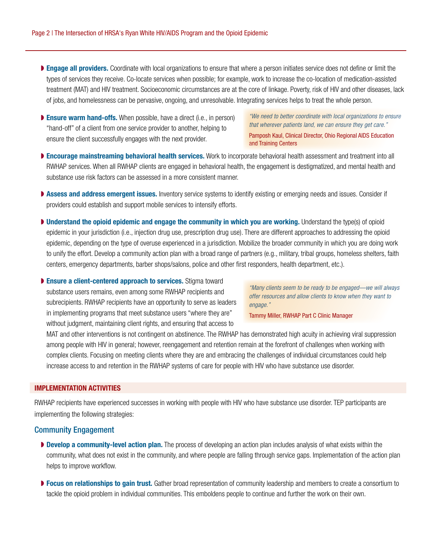- **Engage all providers.** Coordinate with local organizations to ensure that where a person initiates service does not define or limit the types of services they receive. Co-locate services when possible; for example, work to increase the co-location of medication-assisted treatment (MAT) and HIV treatment. Socioeconomic circumstances are at the core of linkage. Poverty, risk of HIV and other diseases, lack of jobs, and homelessness can be pervasive, ongoing, and unresolvable. Integrating services helps to treat the whole person.
- ▶ Ensure warm hand-offs. When possible, have a direct (i.e., in person) "hand-off" of a client from one service provider to another, helping to ensure the client successfully engages with the next provider.

*"We need to better coordinate with local organizations to ensure that wherever patients land, we can ensure they get care."* 

Pamposh Kaul, Clinical Director, Ohio Regional AIDS Education and Training Centers

- ▶ Encourage mainstreaming behavioral health services. Work to incorporate behavioral health assessment and treatment into all RWHAP services. When all RWHAP clients are engaged in behavioral health, the engagement is destigmatized, and mental health and substance use risk factors can be assessed in a more consistent manner.
- ▶ Assess and address emergent issues. Inventory service systems to identify existing or emerging needs and issues. Consider if providers could establish and support mobile services to intensify efforts.
- Understand the opioid epidemic and engage the community in which you are working. Understand the type(s) of opioid epidemic in your jurisdiction (i.e., injection drug use, prescription drug use). There are different approaches to addressing the opioid epidemic, depending on the type of overuse experienced in a jurisdiction. Mobilize the broader community in which you are doing work to unify the effort. Develop a community action plan with a broad range of partners (e.g., military, tribal groups, homeless shelters, faith centers, emergency departments, barber shops/salons, police and other first responders, health department, etc.).

▶ Ensure a client-centered approach to services. Stigma toward substance users remains, even among some RWHAP recipients and subrecipients. RWHAP recipients have an opportunity to serve as leaders in implementing programs that meet substance users "where they are" without judgment, maintaining client rights, and ensuring that access to

*"Many clients seem to be ready to be engaged—we will always offer resources and allow clients to know when they want to engage."*

Tammy Miller, RWHAP Part C Clinic Manager

MAT and other interventions is not contingent on abstinence. The RWHAP has demonstrated high acuity in achieving viral suppression among people with HIV in general; however, reengagement and retention remain at the forefront of challenges when working with complex clients. Focusing on meeting clients where they are and embracing the challenges of individual circumstances could help increase access to and retention in the RWHAP systems of care for people with HIV who have substance use disorder.

#### IMPLEMENTATION ACTIVITIES

RWHAP recipients have experienced successes in working with people with HIV who have substance use disorder. TEP participants are implementing the following strategies:

## Community Engagement

- Develop a community-level action plan. The process of developing an action plan includes analysis of what exists within the community, what does not exist in the community, and where people are falling through service gaps. Implementation of the action plan helps to improve workflow.
- ▶ Focus on relationships to gain trust. Gather broad representation of community leadership and members to create a consortium to tackle the opioid problem in individual communities. This emboldens people to continue and further the work on their own.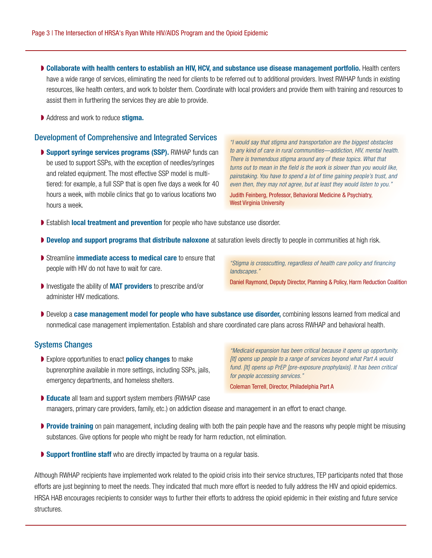- Collaborate with health centers to establish an HIV, HCV, and substance use disease management portfolio. Health centers have a wide range of services, eliminating the need for clients to be referred out to additional providers. Invest RWHAP funds in existing resources, like health centers, and work to bolster them. Coordinate with local providers and provide them with training and resources to assist them in furthering the services they are able to provide.
- ▶ Address and work to reduce **stigma.**

#### Development of Comprehensive and Integrated Services

▶ Support syringe services programs (SSP). RWHAP funds can be used to support SSPs, with the exception of needles/syringes and related equipment. The most effective SSP model is multitiered: for example, a full SSP that is open five days a week for 40 hours a week, with mobile clinics that go to various locations two hours a week.

*"I would say that stigma and transportation are the biggest obstacles to any kind of care in rural communities—addiction, HIV, mental health. There is tremendous stigma around any of these topics. What that turns out to mean in the field is the work is slower than you would like, painstaking. You have to spend a lot of time gaining people's trust, and even then, they may not agree, but at least they would listen to you."*

Judith Feinberg, Professor, Behavioral Medicine & Psychiatry, West Virginia University

- ▶ Establish local treatment and prevention for people who have substance use disorder.
- ▶ Develop and support programs that distribute naloxone at saturation levels directly to people in communities at high risk.
- **▶ Streamline immediate access to medical care to ensure that** people with HIV do not have to wait for care.
- Investigate the ability of **MAT providers** to prescribe and/or administer HIV medications.
- ▶ Develop a case management model for people who have substance use disorder, combining lessons learned from medical and nonmedical case management implementation. Establish and share coordinated care plans across RWHAP and behavioral health.

## Systems Changes

▶ Explore opportunities to enact **policy changes** to make buprenorphine available in more settings, including SSPs, jails, emergency departments, and homeless shelters.

*"Medicaid expansion has been critical because it opens up opportunity. [It] opens up people to a range of services beyond what Part A would fund. [It] opens up PrEP [pre-exposure prophylaxis]. It has been critical for people accessing services."*

Coleman Terrell, Director, Philadelphia Part A

- ▶ Educate all team and support system members (RWHAP case) managers, primary care providers, family, etc.) on addiction disease and management in an effort to enact change.
- ▶ Provide training on pain management, including dealing with both the pain people have and the reasons why people might be misusing substances. Give options for people who might be ready for harm reduction, not elimination.
- ▶ Support frontline staff who are directly impacted by trauma on a regular basis.

Although RWHAP recipients have implemented work related to the opioid crisis into their service structures, TEP participants noted that those efforts are just beginning to meet the needs. They indicated that much more effort is needed to fully address the HIV and opioid epidemics. HRSA HAB encourages recipients to consider ways to further their efforts to address the opioid epidemic in their existing and future service structures.

*"Stigma is crosscutting, regardless of health care policy and financing landscapes."*

Daniel Raymond, Deputy Director, Planning & Policy, Harm Reduction Coalition